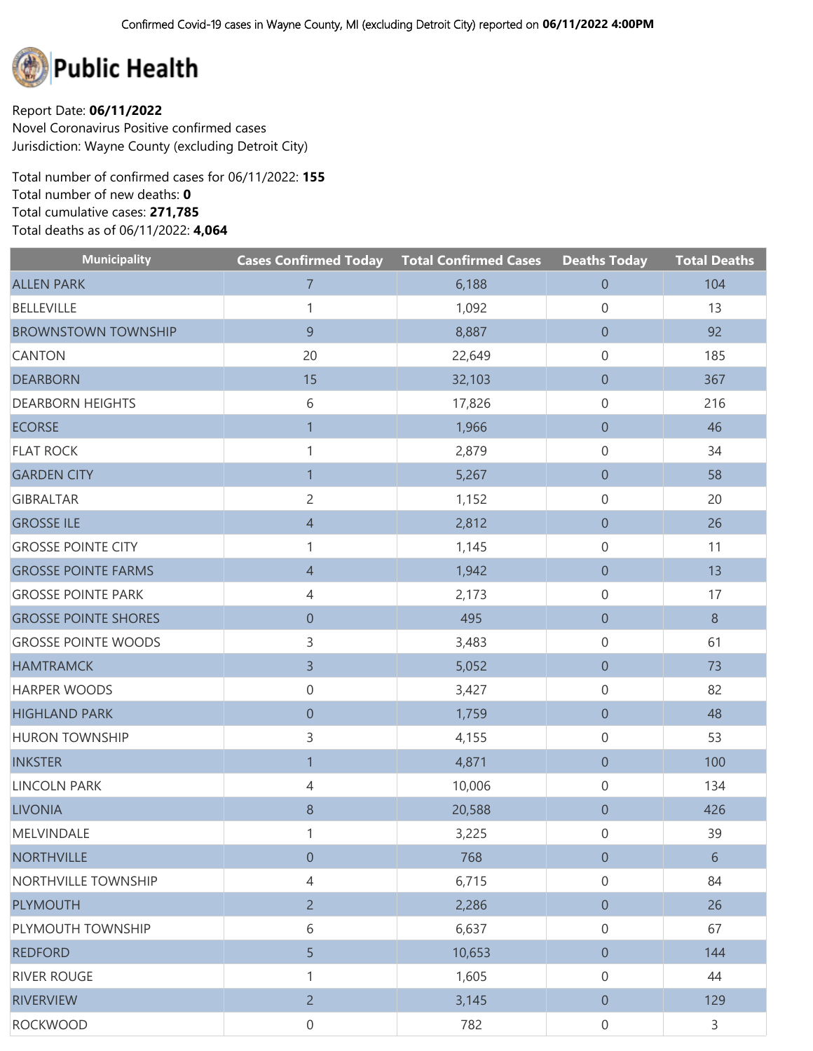

Report Date: **06/11/2022** Novel Coronavirus Positive confirmed cases Jurisdiction: Wayne County (excluding Detroit City)

Total number of confirmed cases for 06/11/2022: **155** Total number of new deaths: **0** Total cumulative cases: **271,785** Total deaths as of 06/11/2022: **4,064**

| <b>Municipality</b>         | <b>Cases Confirmed Today</b> | <b>Total Confirmed Cases</b> | <b>Deaths Today</b> | <b>Total Deaths</b> |
|-----------------------------|------------------------------|------------------------------|---------------------|---------------------|
| <b>ALLEN PARK</b>           | $\overline{7}$               | 6,188                        | $\boldsymbol{0}$    | 104                 |
| <b>BELLEVILLE</b>           | 1                            | 1,092                        | 0                   | 13                  |
| <b>BROWNSTOWN TOWNSHIP</b>  | 9                            | 8,887                        | $\boldsymbol{0}$    | 92                  |
| <b>CANTON</b>               | 20                           | 22,649                       | 0                   | 185                 |
| <b>DEARBORN</b>             | 15                           | 32,103                       | $\boldsymbol{0}$    | 367                 |
| <b>DEARBORN HEIGHTS</b>     | 6                            | 17,826                       | 0                   | 216                 |
| <b>ECORSE</b>               | $\overline{1}$               | 1,966                        | $\boldsymbol{0}$    | 46                  |
| <b>FLAT ROCK</b>            | $\mathbf{1}$                 | 2,879                        | 0                   | 34                  |
| <b>GARDEN CITY</b>          | $\overline{1}$               | 5,267                        | $\boldsymbol{0}$    | 58                  |
| <b>GIBRALTAR</b>            | $\overline{c}$               | 1,152                        | 0                   | 20                  |
| <b>GROSSE ILE</b>           | $\overline{4}$               | 2,812                        | $\boldsymbol{0}$    | 26                  |
| <b>GROSSE POINTE CITY</b>   | 1                            | 1,145                        | 0                   | 11                  |
| <b>GROSSE POINTE FARMS</b>  | $\overline{4}$               | 1,942                        | $\boldsymbol{0}$    | 13                  |
| <b>GROSSE POINTE PARK</b>   | 4                            | 2,173                        | 0                   | 17                  |
| <b>GROSSE POINTE SHORES</b> | $\boldsymbol{0}$             | 495                          | $\boldsymbol{0}$    | $8\phantom{1}$      |
| <b>GROSSE POINTE WOODS</b>  | 3                            | 3,483                        | 0                   | 61                  |
| <b>HAMTRAMCK</b>            | $\overline{3}$               | 5,052                        | $\boldsymbol{0}$    | 73                  |
| HARPER WOODS                | $\boldsymbol{0}$             | 3,427                        | 0                   | 82                  |
| <b>HIGHLAND PARK</b>        | $\boldsymbol{0}$             | 1,759                        | $\boldsymbol{0}$    | 48                  |
| <b>HURON TOWNSHIP</b>       | 3                            | 4,155                        | 0                   | 53                  |
| <b>INKSTER</b>              | $\mathbf{1}$                 | 4,871                        | $\boldsymbol{0}$    | 100                 |
| <b>LINCOLN PARK</b>         | $\overline{4}$               | 10,006                       | 0                   | 134                 |
| <b>LIVONIA</b>              | 8                            | 20,588                       | $\boldsymbol{0}$    | 426                 |
| MELVINDALE                  | 1                            | 3,225                        | 0                   | 39                  |
| <b>NORTHVILLE</b>           | $\boldsymbol{0}$             | 768                          | $\boldsymbol{0}$    | $6\,$               |
| NORTHVILLE TOWNSHIP         | 4                            | 6,715                        | $\mathsf{O}\xspace$ | 84                  |
| <b>PLYMOUTH</b>             | $2^{\circ}$                  | 2,286                        | $\overline{0}$      | 26                  |
| PLYMOUTH TOWNSHIP           | 6                            | 6,637                        | $\mathsf{O}\xspace$ | 67                  |
| <b>REDFORD</b>              | 5                            | 10,653                       | $\overline{0}$      | 144                 |
| <b>RIVER ROUGE</b>          | 1                            | 1,605                        | $\mathbf 0$         | 44                  |
| <b>RIVERVIEW</b>            | $2^{\circ}$                  | 3,145                        | $\overline{0}$      | 129                 |
| <b>ROCKWOOD</b>             | $\boldsymbol{0}$             | 782                          | $\mathbf 0$         | 3                   |